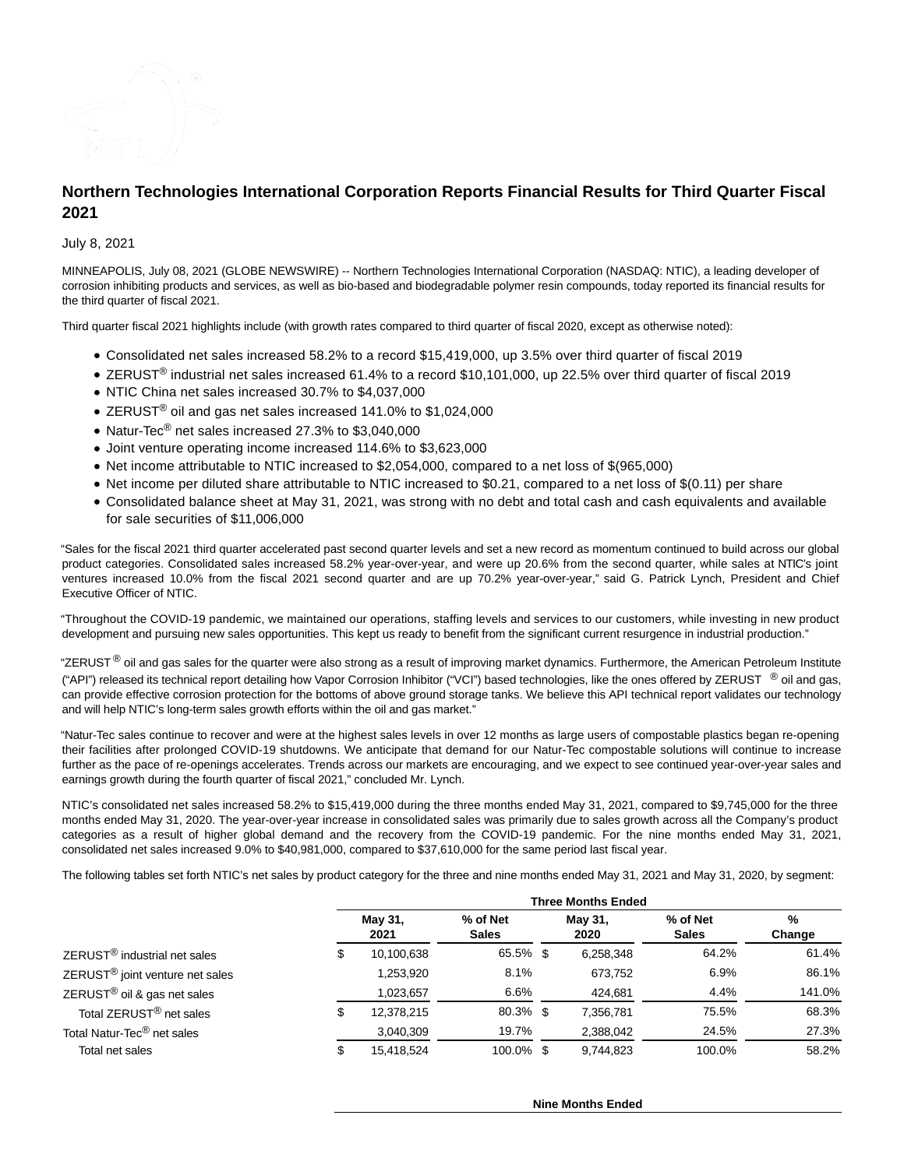

# **Northern Technologies International Corporation Reports Financial Results for Third Quarter Fiscal 2021**

July 8, 2021

MINNEAPOLIS, July 08, 2021 (GLOBE NEWSWIRE) -- Northern Technologies International Corporation (NASDAQ: NTIC), a leading developer of corrosion inhibiting products and services, as well as bio-based and biodegradable polymer resin compounds, today reported its financial results for the third quarter of fiscal 2021.

Third quarter fiscal 2021 highlights include (with growth rates compared to third quarter of fiscal 2020, except as otherwise noted):

- Consolidated net sales increased 58.2% to a record \$15,419,000, up 3.5% over third quarter of fiscal 2019
- ZERUST<sup>®</sup> industrial net sales increased 61.4% to a record \$10,101,000, up 22.5% over third quarter of fiscal 2019
- NTIC China net sales increased 30.7% to \$4,037,000
- ZERUST<sup>®</sup> oil and gas net sales increased 141.0% to \$1,024,000
- Natur-Tec<sup>®</sup> net sales increased 27.3% to \$3,040,000
- Joint venture operating income increased 114.6% to \$3,623,000
- Net income attributable to NTIC increased to \$2,054,000, compared to a net loss of \$(965,000)
- Net income per diluted share attributable to NTIC increased to \$0.21, compared to a net loss of \$(0.11) per share
- Consolidated balance sheet at May 31, 2021, was strong with no debt and total cash and cash equivalents and available for sale securities of \$11,006,000

"Sales for the fiscal 2021 third quarter accelerated past second quarter levels and set a new record as momentum continued to build across our global product categories. Consolidated sales increased 58.2% year-over-year, and were up 20.6% from the second quarter, while sales at NTIC's joint ventures increased 10.0% from the fiscal 2021 second quarter and are up 70.2% year-over-year," said G. Patrick Lynch, President and Chief Executive Officer of NTIC.

"Throughout the COVID-19 pandemic, we maintained our operations, staffing levels and services to our customers, while investing in new product development and pursuing new sales opportunities. This kept us ready to benefit from the significant current resurgence in industrial production."

"ZERUST $^{\circledR}$  oil and gas sales for the quarter were also strong as a result of improving market dynamics. Furthermore, the American Petroleum Institute ("API") released its technical report detailing how Vapor Corrosion Inhibitor ("VCI") based technologies, like the ones offered by ZERUST  $\degree$  oil and gas, can provide effective corrosion protection for the bottoms of above ground storage tanks. We believe this API technical report validates our technology and will help NTIC's long-term sales growth efforts within the oil and gas market."

"Natur-Tec sales continue to recover and were at the highest sales levels in over 12 months as large users of compostable plastics began re-opening their facilities after prolonged COVID-19 shutdowns. We anticipate that demand for our Natur-Tec compostable solutions will continue to increase further as the pace of re-openings accelerates. Trends across our markets are encouraging, and we expect to see continued year-over-year sales and earnings growth during the fourth quarter of fiscal 2021," concluded Mr. Lynch.

NTIC's consolidated net sales increased 58.2% to \$15,419,000 during the three months ended May 31, 2021, compared to \$9,745,000 for the three months ended May 31, 2020. The year-over-year increase in consolidated sales was primarily due to sales growth across all the Company's product categories as a result of higher global demand and the recovery from the COVID-19 pandemic. For the nine months ended May 31, 2021, consolidated net sales increased 9.0% to \$40,981,000, compared to \$37,610,000 for the same period last fiscal year.

The following tables set forth NTIC's net sales by product category for the three and nine months ended May 31, 2021 and May 31, 2020, by segment:

|                                             | <b>Three Months Ended</b> |                 |                          |  |                 |                          |             |
|---------------------------------------------|---------------------------|-----------------|--------------------------|--|-----------------|--------------------------|-------------|
|                                             |                           | May 31,<br>2021 | % of Net<br><b>Sales</b> |  | May 31,<br>2020 | % of Net<br><b>Sales</b> | %<br>Change |
| ZERUST <sup>®</sup> industrial net sales    | S                         | 10,100,638      | 65.5% \$                 |  | 6,258,348       | 64.2%                    | 61.4%       |
| ZERUST <sup>®</sup> joint venture net sales |                           | 1,253,920       | 8.1%                     |  | 673.752         | 6.9%                     | 86.1%       |
| ZERUST <sup>®</sup> oil & gas net sales     |                           | 1.023.657       | 6.6%                     |  | 424.681         | 4.4%                     | 141.0%      |
| Total ZERUST <sup>®</sup> net sales         | S                         | 12,378,215      | $80.3\%$ \$              |  | 7,356,781       | 75.5%                    | 68.3%       |
| Total Natur-Tec <sup>®</sup> net sales      |                           | 3,040,309       | 19.7%                    |  | 2,388,042       | 24.5%                    | 27.3%       |
| Total net sales                             | S                         | 15.418.524      | 100.0% \$                |  | 9.744.823       | 100.0%                   | 58.2%       |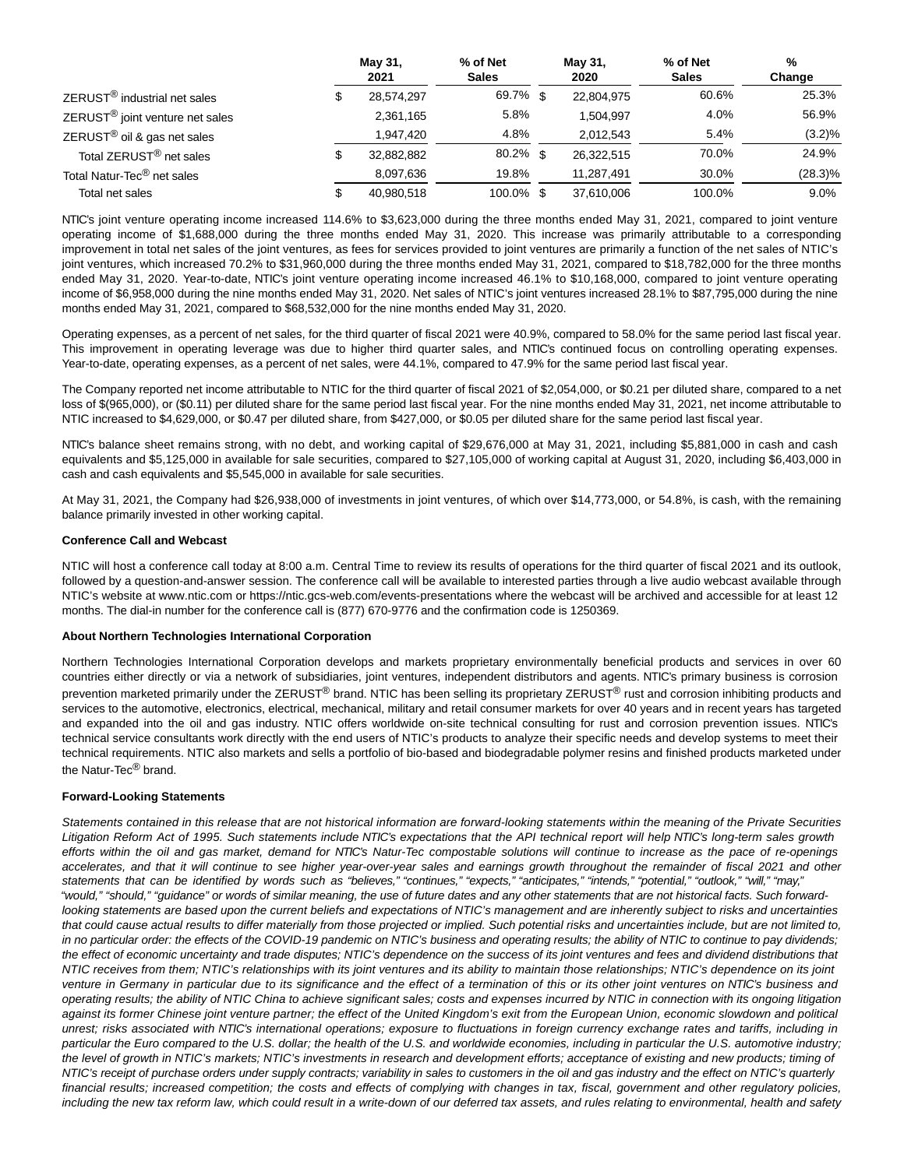|                                             | May 31,<br>2021  | % of Net<br><b>Sales</b> | May 31,<br>2020 | % of Net<br><b>Sales</b> | $\frac{0}{0}$<br>Change |
|---------------------------------------------|------------------|--------------------------|-----------------|--------------------------|-------------------------|
| ZERUST <sup>®</sup> industrial net sales    | \$<br>28,574,297 | 69.7% \$                 | 22.804.975      | 60.6%                    | 25.3%                   |
| ZERUST <sup>®</sup> joint venture net sales | 2,361,165        | 5.8%                     | 1.504.997       | 4.0%                     | 56.9%                   |
| ZERUST <sup>®</sup> oil & gas net sales     | 1,947,420        | 4.8%                     | 2,012,543       | 5.4%                     | $(3.2)\%$               |
| Total ZERUST <sup>®</sup> net sales         | \$<br>32,882,882 | $80.2\%$ \$              | 26.322.515      | 70.0%                    | 24.9%                   |
| Total Natur-Tec <sup>®</sup> net sales      | 8.097.636        | 19.8%                    | 11.287.491      | 30.0%                    | $(28.3)\%$              |
| Total net sales                             | 40,980,518       | 100.0% \$                | 37,610,006      | 100.0%                   | $9.0\%$                 |

NTIC's joint venture operating income increased 114.6% to \$3,623,000 during the three months ended May 31, 2021, compared to joint venture operating income of \$1,688,000 during the three months ended May 31, 2020. This increase was primarily attributable to a corresponding improvement in total net sales of the joint ventures, as fees for services provided to joint ventures are primarily a function of the net sales of NTIC's joint ventures, which increased 70.2% to \$31,960,000 during the three months ended May 31, 2021, compared to \$18,782,000 for the three months ended May 31, 2020. Year-to-date, NTIC's joint venture operating income increased 46.1% to \$10,168,000, compared to joint venture operating income of \$6,958,000 during the nine months ended May 31, 2020. Net sales of NTIC's joint ventures increased 28.1% to \$87,795,000 during the nine months ended May 31, 2021, compared to \$68,532,000 for the nine months ended May 31, 2020.

Operating expenses, as a percent of net sales, for the third quarter of fiscal 2021 were 40.9%, compared to 58.0% for the same period last fiscal year. This improvement in operating leverage was due to higher third quarter sales, and NTIC's continued focus on controlling operating expenses. Year-to-date, operating expenses, as a percent of net sales, were 44.1%, compared to 47.9% for the same period last fiscal year.

The Company reported net income attributable to NTIC for the third quarter of fiscal 2021 of \$2,054,000, or \$0.21 per diluted share, compared to a net loss of \$(965,000), or (\$0.11) per diluted share for the same period last fiscal year. For the nine months ended May 31, 2021, net income attributable to NTIC increased to \$4,629,000, or \$0.47 per diluted share, from \$427,000, or \$0.05 per diluted share for the same period last fiscal year.

NTIC's balance sheet remains strong, with no debt, and working capital of \$29,676,000 at May 31, 2021, including \$5,881,000 in cash and cash equivalents and \$5,125,000 in available for sale securities, compared to \$27,105,000 of working capital at August 31, 2020, including \$6,403,000 in cash and cash equivalents and \$5,545,000 in available for sale securities.

At May 31, 2021, the Company had \$26,938,000 of investments in joint ventures, of which over \$14,773,000, or 54.8%, is cash, with the remaining balance primarily invested in other working capital.

#### **Conference Call and Webcast**

NTIC will host a conference call today at 8:00 a.m. Central Time to review its results of operations for the third quarter of fiscal 2021 and its outlook, followed by a question-and-answer session. The conference call will be available to interested parties through a live audio webcast available through NTIC's website at www.ntic.com or https://ntic.gcs-web.com/events-presentations where the webcast will be archived and accessible for at least 12 months. The dial-in number for the conference call is (877) 670-9776 and the confirmation code is 1250369.

#### **About Northern Technologies International Corporation**

Northern Technologies International Corporation develops and markets proprietary environmentally beneficial products and services in over 60 countries either directly or via a network of subsidiaries, joint ventures, independent distributors and agents. NTIC's primary business is corrosion prevention marketed primarily under the ZERUST® brand. NTIC has been selling its proprietary ZERUST<sup>®</sup> rust and corrosion inhibiting products and services to the automotive, electronics, electrical, mechanical, military and retail consumer markets for over 40 years and in recent years has targeted and expanded into the oil and gas industry. NTIC offers worldwide on-site technical consulting for rust and corrosion prevention issues. NTIC's technical service consultants work directly with the end users of NTIC's products to analyze their specific needs and develop systems to meet their technical requirements. NTIC also markets and sells a portfolio of bio-based and biodegradable polymer resins and finished products marketed under the Natur-Tec® brand.

#### **Forward-Looking Statements**

Statements contained in this release that are not historical information are forward-looking statements within the meaning of the Private Securities Litigation Reform Act of 1995. Such statements include NTIC's expectations that the API technical report will help NTIC's long-term sales growth efforts within the oil and gas market, demand for NTIC's Natur-Tec compostable solutions will continue to increase as the pace of re-openings accelerates, and that it will continue to see higher year-over-year sales and earnings growth throughout the remainder of fiscal 2021 and other statements that can be identified by words such as "believes," "continues," "expects," "anticipates," "intends," "potential," "outlook," "will," "may," "would," "should," "guidance" or words of similar meaning, the use of future dates and any other statements that are not historical facts. Such forwardlooking statements are based upon the current beliefs and expectations of NTIC's management and are inherently subject to risks and uncertainties that could cause actual results to differ materially from those projected or implied. Such potential risks and uncertainties include, but are not limited to, in no particular order: the effects of the COVID-19 pandemic on NTIC's business and operating results; the ability of NTIC to continue to pay dividends; the effect of economic uncertainty and trade disputes; NTIC's dependence on the success of its joint ventures and fees and dividend distributions that NTIC receives from them; NTIC's relationships with its joint ventures and its ability to maintain those relationships; NTIC's dependence on its joint venture in Germany in particular due to its significance and the effect of a termination of this or its other joint ventures on NTIC's business and operating results; the ability of NTIC China to achieve significant sales; costs and expenses incurred by NTIC in connection with its ongoing litigation against its former Chinese joint venture partner; the effect of the United Kingdom's exit from the European Union, economic slowdown and political unrest; risks associated with NTIC's international operations; exposure to fluctuations in foreign currency exchange rates and tariffs, including in particular the Euro compared to the U.S. dollar; the health of the U.S. and worldwide economies, including in particular the U.S. automotive industry; the level of growth in NTIC's markets; NTIC's investments in research and development efforts; acceptance of existing and new products; timing of NTIC's receipt of purchase orders under supply contracts; variability in sales to customers in the oil and gas industry and the effect on NTIC's quarterly financial results; increased competition; the costs and effects of complying with changes in tax, fiscal, government and other regulatory policies, including the new tax reform law, which could result in a write-down of our deferred tax assets, and rules relating to environmental, health and safety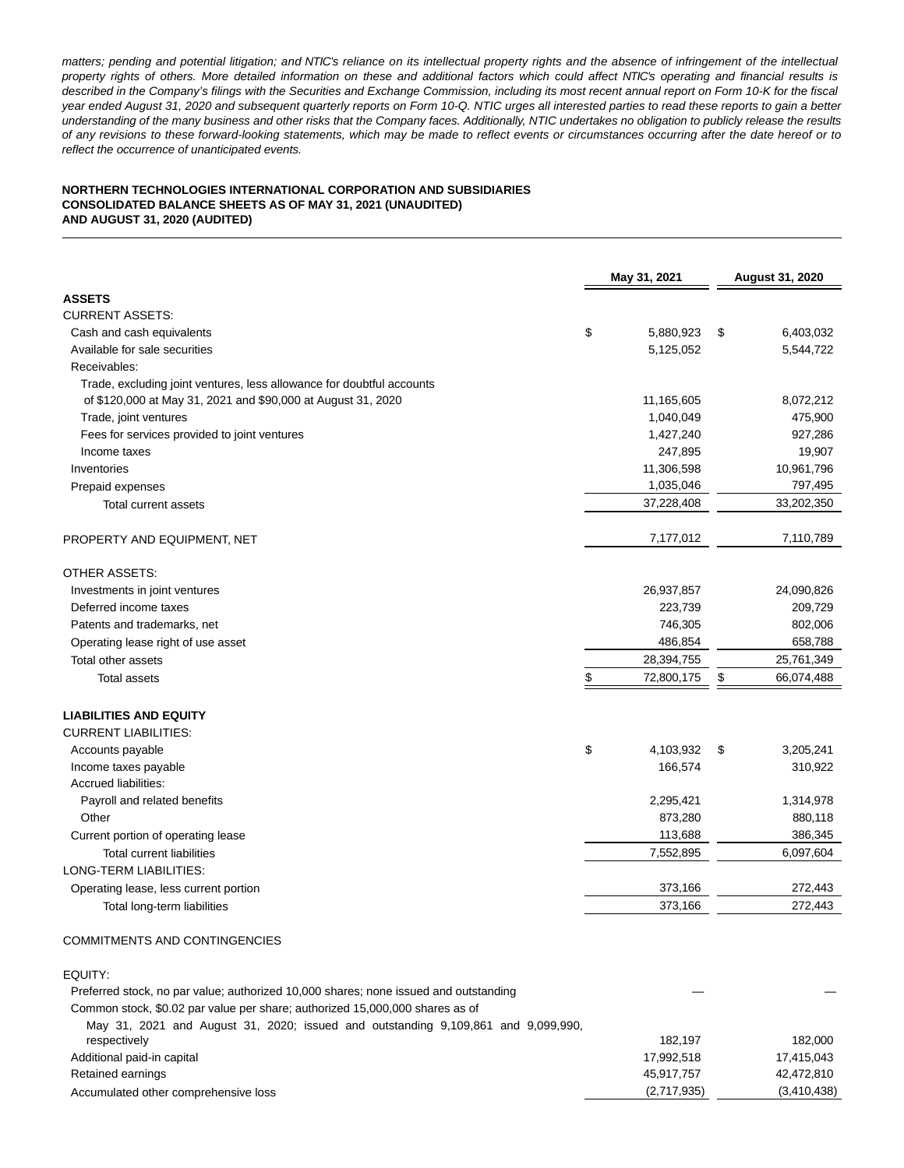matters; pending and potential litigation; and NTIC's reliance on its intellectual property rights and the absence of infringement of the intellectual property rights of others. More detailed information on these and additional factors which could affect NTIC's operating and financial results is described in the Company's filings with the Securities and Exchange Commission, including its most recent annual report on Form 10-K for the fiscal year ended August 31, 2020 and subsequent quarterly reports on Form 10-Q. NTIC urges all interested parties to read these reports to gain a better understanding of the many business and other risks that the Company faces. Additionally, NTIC undertakes no obligation to publicly release the results of any revisions to these forward-looking statements, which may be made to reflect events or circumstances occurring after the date hereof or to reflect the occurrence of unanticipated events.

#### **NORTHERN TECHNOLOGIES INTERNATIONAL CORPORATION AND SUBSIDIARIES CONSOLIDATED BALANCE SHEETS AS OF MAY 31, 2021 (UNAUDITED) AND AUGUST 31, 2020 (AUDITED)**

|                                                                       | May 31, 2021 | <b>August 31, 2020</b> |                  |
|-----------------------------------------------------------------------|--------------|------------------------|------------------|
| <b>ASSETS</b>                                                         |              |                        |                  |
| <b>CURRENT ASSETS:</b>                                                |              |                        |                  |
| Cash and cash equivalents                                             | \$           | 5,880,923              | \$<br>6,403,032  |
| Available for sale securities                                         |              | 5,125,052              | 5,544,722        |
| Receivables:                                                          |              |                        |                  |
| Trade, excluding joint ventures, less allowance for doubtful accounts |              |                        |                  |
| of \$120,000 at May 31, 2021 and \$90,000 at August 31, 2020          |              | 11,165,605             | 8,072,212        |
| Trade, joint ventures                                                 |              | 1,040,049              | 475,900          |
| Fees for services provided to joint ventures                          |              | 1,427,240              | 927,286          |
| Income taxes                                                          |              | 247,895                | 19,907           |
| Inventories                                                           |              | 11,306,598             | 10,961,796       |
| Prepaid expenses                                                      |              | 1,035,046              | 797,495          |
| <b>Total current assets</b>                                           |              | 37,228,408             | 33,202,350       |
|                                                                       |              |                        |                  |
| PROPERTY AND EQUIPMENT, NET                                           |              | 7,177,012              | 7,110,789        |
| <b>OTHER ASSETS:</b>                                                  |              |                        |                  |
| Investments in joint ventures                                         |              | 26,937,857             | 24,090,826       |
| Deferred income taxes                                                 |              | 223,739                | 209,729          |
| Patents and trademarks, net                                           |              | 746,305                | 802,006          |
| Operating lease right of use asset                                    |              | 486,854                | 658,788          |
| Total other assets                                                    |              | 28,394,755             | 25,761,349       |
| <b>Total assets</b>                                                   | \$           | 72,800,175             | \$<br>66,074,488 |
| <b>LIABILITIES AND EQUITY</b>                                         |              |                        |                  |
| <b>CURRENT LIABILITIES:</b>                                           |              |                        |                  |
| Accounts payable                                                      | \$           | 4,103,932              | \$<br>3,205,241  |
| Income taxes payable                                                  |              | 166,574                | 310,922          |
| Accrued liabilities:                                                  |              |                        |                  |
| Payroll and related benefits                                          |              | 2,295,421              | 1,314,978        |
| Other                                                                 |              | 873,280                | 880,118          |
| Current portion of operating lease                                    |              | 113,688                | 386,345          |
| <b>Total current liabilities</b>                                      |              | 7,552,895              | 6,097,604        |
| LONG-TERM LIABILITIES:                                                |              |                        |                  |
| Operating lease, less current portion                                 |              | 373,166                | 272,443          |
| Total long-term liabilities                                           |              | 373,166                | 272,443          |

## COMMITMENTS AND CONTINGENCIES

EQUITY:

| Preferred stock, no par value; authorized 10,000 shares; none issued and outstanding |             |             |  |  |  |  |  |  |
|--------------------------------------------------------------------------------------|-------------|-------------|--|--|--|--|--|--|
| Common stock, \$0.02 par value per share; authorized 15,000,000 shares as of         |             |             |  |  |  |  |  |  |
| May 31, 2021 and August 31, 2020; issued and outstanding 9,109,861 and 9,099,990,    |             |             |  |  |  |  |  |  |
| respectively                                                                         | 182.197     | 182.000     |  |  |  |  |  |  |
| Additional paid-in capital                                                           | 17.992.518  | 17.415.043  |  |  |  |  |  |  |
| Retained earnings                                                                    | 45.917.757  | 42,472,810  |  |  |  |  |  |  |
| Accumulated other comprehensive loss                                                 | (2,717,935) | (3,410,438) |  |  |  |  |  |  |